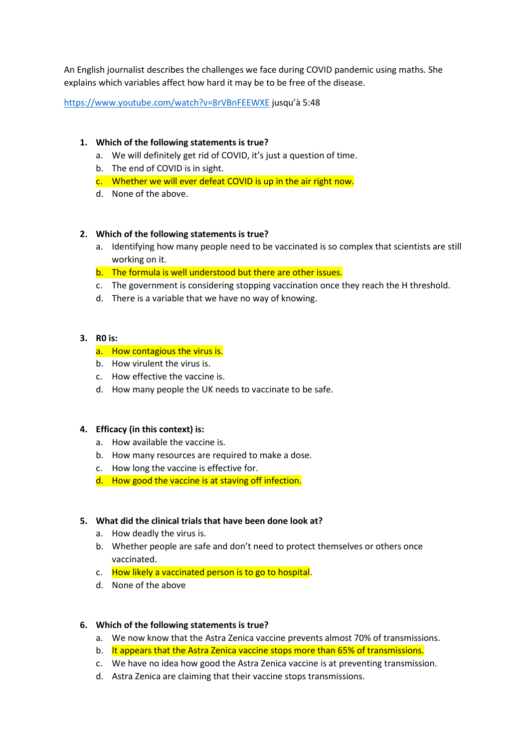An English journalist describes the challenges we face during COVID pandemic using maths. She explains which variables affect how hard it may be to be free of the disease.

<https://www.youtube.com/watch?v=8rVBnFEEWXE> jusqu'à 5:48

# **1. Which of the following statements is true?**

- a. We will definitely get rid of COVID, it's just a question of time.
- b. The end of COVID is in sight.
- c. Whether we will ever defeat COVID is up in the air right now.
- d. None of the above.

### **2. Which of the following statements is true?**

- a. Identifying how many people need to be vaccinated is so complex that scientists are still working on it.
- b. The formula is well understood but there are other issues.
- c. The government is considering stopping vaccination once they reach the H threshold.
- d. There is a variable that we have no way of knowing.

#### **3. R0 is:**

### a. How contagious the virus is.

- b. How virulent the virus is.
- c. How effective the vaccine is.
- d. How many people the UK needs to vaccinate to be safe.

#### **4. Efficacy (in this context) is:**

- a. How available the vaccine is.
- b. How many resources are required to make a dose.
- c. How long the vaccine is effective for.
- d. How good the vaccine is at staving off infection.

#### **5. What did the clinical trials that have been done look at?**

- a. How deadly the virus is.
- b. Whether people are safe and don't need to protect themselves or others once vaccinated.
- c. How likely a vaccinated person is to go to hospital.
- d. None of the above

#### **6. Which of the following statements is true?**

- a. We now know that the Astra Zenica vaccine prevents almost 70% of transmissions.
- b. It appears that the Astra Zenica vaccine stops more than 65% of transmissions.
- c. We have no idea how good the Astra Zenica vaccine is at preventing transmission.
- d. Astra Zenica are claiming that their vaccine stops transmissions.